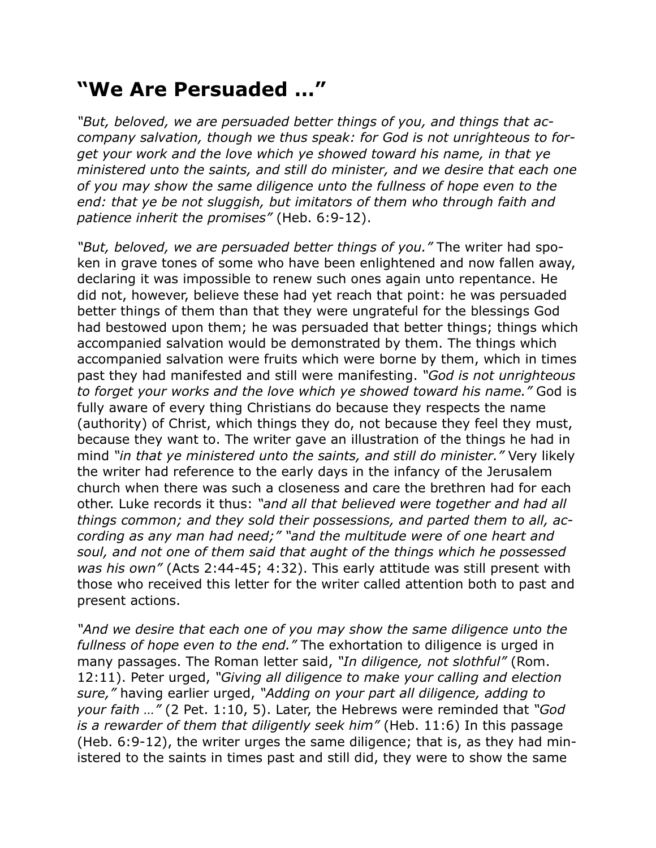## **"We Are Persuaded …"**

*"But, beloved, we are persuaded better things of you, and things that accompany salvation, though we thus speak: for God is not unrighteous to forget your work and the love which ye showed toward his name, in that ye ministered unto the saints, and still do minister, and we desire that each one of you may show the same diligence unto the fullness of hope even to the end: that ye be not sluggish, but imitators of them who through faith and patience inherit the promises"* (Heb. 6:9-12).

*"But, beloved, we are persuaded better things of you."* The writer had spoken in grave tones of some who have been enlightened and now fallen away, declaring it was impossible to renew such ones again unto repentance. He did not, however, believe these had yet reach that point: he was persuaded better things of them than that they were ungrateful for the blessings God had bestowed upon them; he was persuaded that better things; things which accompanied salvation would be demonstrated by them. The things which accompanied salvation were fruits which were borne by them, which in times past they had manifested and still were manifesting. *"God is not unrighteous to forget your works and the love which ye showed toward his name."* God is fully aware of every thing Christians do because they respects the name (authority) of Christ, which things they do, not because they feel they must, because they want to. The writer gave an illustration of the things he had in mind *"in that ye ministered unto the saints, and still do minister."* Very likely the writer had reference to the early days in the infancy of the Jerusalem church when there was such a closeness and care the brethren had for each other. Luke records it thus: *"and all that believed were together and had all things common; and they sold their possessions, and parted them to all, according as any man had need;" "and the multitude were of one heart and soul, and not one of them said that aught of the things which he possessed was his own"* (Acts 2:44-45; 4:32). This early attitude was still present with those who received this letter for the writer called attention both to past and present actions.

*"And we desire that each one of you may show the same diligence unto the fullness of hope even to the end."* The exhortation to diligence is urged in many passages. The Roman letter said, *"In diligence, not slothful"* (Rom. 12:11). Peter urged, *"Giving all diligence to make your calling and election sure,"* having earlier urged, *"Adding on your part all diligence, adding to your faith …"* (2 Pet. 1:10, 5). Later, the Hebrews were reminded that *"God is a rewarder of them that diligently seek him"* (Heb. 11:6) In this passage (Heb. 6:9-12), the writer urges the same diligence; that is, as they had ministered to the saints in times past and still did, they were to show the same